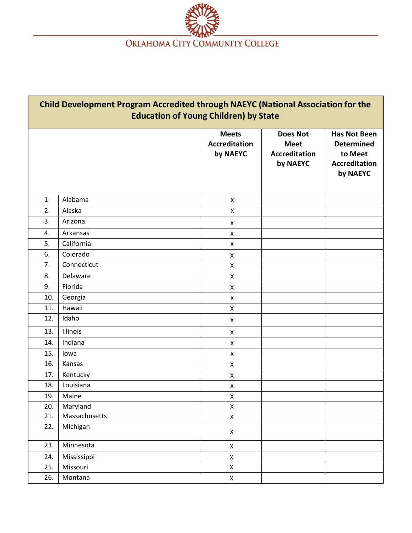

| <b>Child Development Program Accredited through NAEYC (National Association for the</b><br><b>Education of Young Children) by State</b> |               |                                                  |                                                                    |                                                                                         |  |  |
|-----------------------------------------------------------------------------------------------------------------------------------------|---------------|--------------------------------------------------|--------------------------------------------------------------------|-----------------------------------------------------------------------------------------|--|--|
|                                                                                                                                         |               | <b>Meets</b><br><b>Accreditation</b><br>by NAEYC | <b>Does Not</b><br><b>Meet</b><br><b>Accreditation</b><br>by NAEYC | <b>Has Not Been</b><br><b>Determined</b><br>to Meet<br><b>Accreditation</b><br>by NAEYC |  |  |
| 1.                                                                                                                                      | Alabama       | X                                                |                                                                    |                                                                                         |  |  |
| 2.                                                                                                                                      | Alaska        | $\pmb{\mathsf{X}}$                               |                                                                    |                                                                                         |  |  |
| 3.                                                                                                                                      | Arizona       | X                                                |                                                                    |                                                                                         |  |  |
| 4.                                                                                                                                      | Arkansas      | $\pmb{\mathsf{X}}$                               |                                                                    |                                                                                         |  |  |
| 5.                                                                                                                                      | California    | X                                                |                                                                    |                                                                                         |  |  |
| 6.                                                                                                                                      | Colorado      | X                                                |                                                                    |                                                                                         |  |  |
| 7.                                                                                                                                      | Connecticut   | X                                                |                                                                    |                                                                                         |  |  |
| 8.                                                                                                                                      | Delaware      | X                                                |                                                                    |                                                                                         |  |  |
| 9.                                                                                                                                      | Florida       | X                                                |                                                                    |                                                                                         |  |  |
| 10.                                                                                                                                     | Georgia       | X                                                |                                                                    |                                                                                         |  |  |
| 11.                                                                                                                                     | Hawaii        | X                                                |                                                                    |                                                                                         |  |  |
| 12.                                                                                                                                     | Idaho         | X                                                |                                                                    |                                                                                         |  |  |
| 13.                                                                                                                                     | Illinois      | X                                                |                                                                    |                                                                                         |  |  |
| 14.                                                                                                                                     | Indiana       | X                                                |                                                                    |                                                                                         |  |  |
| 15.                                                                                                                                     | lowa          | X                                                |                                                                    |                                                                                         |  |  |
| 16.                                                                                                                                     | Kansas        | X                                                |                                                                    |                                                                                         |  |  |
| 17.                                                                                                                                     | Kentucky      | X                                                |                                                                    |                                                                                         |  |  |
| 18.                                                                                                                                     | Louisiana     | X                                                |                                                                    |                                                                                         |  |  |
| 19.                                                                                                                                     | Maine         | X                                                |                                                                    |                                                                                         |  |  |
| 20.                                                                                                                                     | Maryland      | $\mathsf X$                                      |                                                                    |                                                                                         |  |  |
| 21.                                                                                                                                     | Massachusetts | $\mathsf X$                                      |                                                                    |                                                                                         |  |  |
| 22.                                                                                                                                     | Michigan      | $\pmb{\mathsf{X}}$                               |                                                                    |                                                                                         |  |  |
| 23.                                                                                                                                     | Minnesota     | $\mathsf X$                                      |                                                                    |                                                                                         |  |  |
| 24.                                                                                                                                     | Mississippi   | $\mathsf X$                                      |                                                                    |                                                                                         |  |  |
| 25.                                                                                                                                     | Missouri      | $\pmb{\mathsf{X}}$                               |                                                                    |                                                                                         |  |  |
| 26.                                                                                                                                     | Montana       | $\mathsf X$                                      |                                                                    |                                                                                         |  |  |